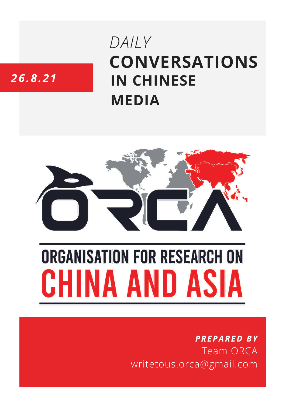# **CONVERSATIONS IN CHINESE MEDIA** *DAILY*

# *26.8.21*



# **ORGANISATION FOR RESEARCH ON** HINA AND ASIA

## *PREPARED BY* Team ORCA writetous.orca@gmail.com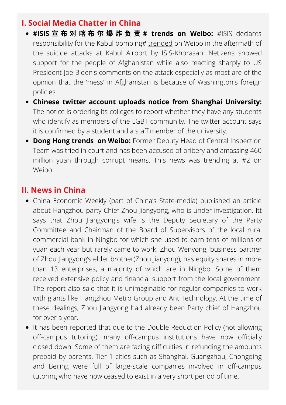#### **I. Social Media Chatter in China**

- **#ISIS** 宣 布 对 喀 布 尔 爆 炸 负 责 **# trends on Weibo:** #ISIS declares responsibility for the Kabul bombing# [trended](https://s.weibo.com/weibo?q=%23ISIS%E5%AE%A3%E5%B8%83%E5%AF%B9%E5%96%80%E5%B8%83%E5%B0%94%E7%88%86%E7%82%B8%E8%B4%9F%E8%B4%A3%23&Refer=top) on Weibo in the aftermath of the suicide attacks at Kabul Airport by ISIS-Khorasan. Netizens showed support for the people of Afghanistan while also reacting sharply to US President Joe Biden's comments on the attack especially as most are of the opinion that the 'mess' in Afghanistan is because of Washington's foreign policies.
- **Chinese twitter account uploads notice from Shanghai University:** The notice is ordering its colleges to report whether they have any students who identify as members of the LGBT community. The twitter account says it is confirmed by a student and a staff member of the university.
- **Dong Hong trends on Weibo:** Former Deputy Head of Central Inspection Team was tried in court and has been accused of bribery and amassing 460 million yuan through corrupt means. This news was trending at #2 on Weibo.

### **II. News in China**

- China Economic Weekly (part of China's State-media) published an article about Hangzhou party Chief Zhou Jiangyong, who is under investigation. Itt says that Zhou Jiangyong's wife is the Deputy Secretary of the Party Committee and Chairman of the Board of Supervisors of the local rural commercial bank in Ningbo for which she used to earn tens of millions of yuan each year but rarely came to work. Zhou Wenyong, business partner of Zhou Jiangyong's elder brother(Zhou Jianyong), has equity shares in more than 13 enterprises, a majority of which are in Ningbo. Some of them received extensive policy and financial support from the local government. The report also said that it is unimaginable for regular companies to work with giants like Hangzhou Metro Group and Ant Technology. At the time of these dealings, Zhou Jiangyong had already been Party chief of Hangzhou for over a year.
- It has been reported that due to the Double Reduction Policy (not allowing off-campus tutoring), many off-campus institutions have now officially closed down. Some of them are facing difficulties in refunding the amounts prepaid by parents. Tier 1 cities such as Shanghai, Guangzhou, Chongqing and Beijing were full of large-scale companies involved in off-campus tutoring who have now ceased to exist in a very short period of time.